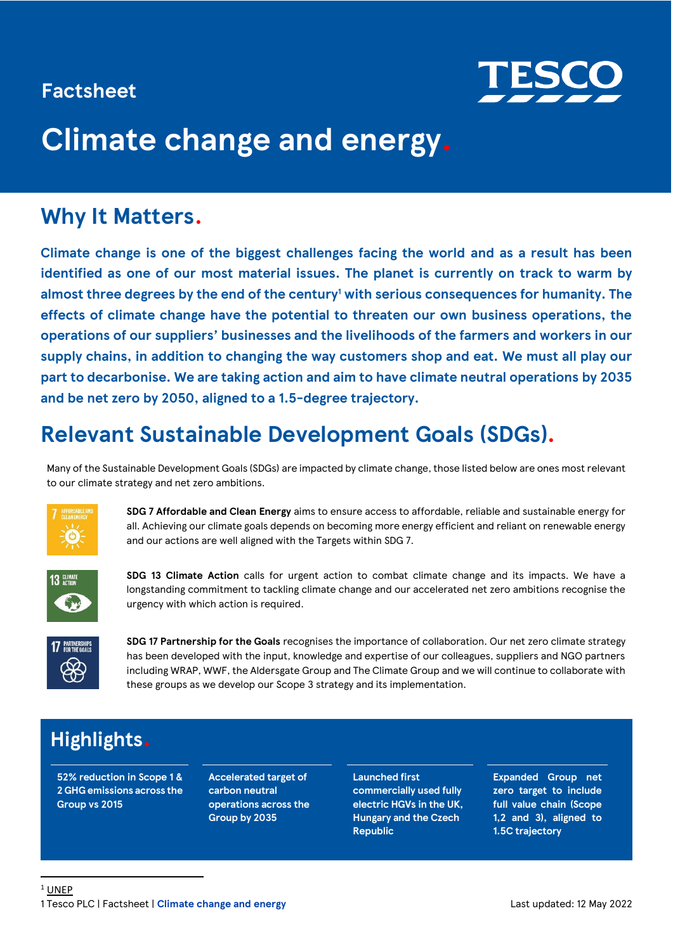### **Factsheet**



# **Climate change and energy.**

### **Why It Matters.**

**Climate change is one of the biggest challenges facing the world and as a result has been identified as one of our most material issues. The planet is currently on track to warm by almost three degrees by the end of the century<sup>1</sup> with serious consequences for humanity. The effects of climate change have the potential to threaten our own business operations, the operations of our suppliers' businesses and the livelihoods of the farmers and workers in our supply chains, in addition to changing the way customers shop and eat. We must all play our part to decarbonise. We are taking action and aim to have climate neutral operations by 2035 and be net zero by 2050, aligned to a 1.5-degree trajectory.**

### **Relevant Sustainable Development Goals (SDGs).**

Many of the Sustainable Development Goals (SDGs) are impacted by climate change, those listed below are ones most relevant to our climate strategy and net zero ambitions.



**SDG 7 Affordable and Clean Energy** aims to ensure access to affordable, reliable and sustainable energy for all. Achieving our climate goals depends on becoming more energy efficient and reliant on renewable energy and our actions are well aligned with the Targets within SDG 7.



**SDG 13 Climate Action** calls for urgent action to combat climate change and its impacts. We have a longstanding commitment to tackling climate change and our accelerated net zero ambitions recognise the urgency with which action is required.



**SDG 17 Partnership for the Goals** recognises the importance of collaboration. Our net zero climate strategy has been developed with the input, knowledge and expertise of our colleagues, suppliers and NGO partners including WRAP, WWF, the Aldersgate Group and The Climate Group and we will continue to collaborate with these groups as we develop our Scope 3 strategy and its implementation.

### **Highlights.**

**52% reduction in Scope 1 & 2 GHG emissions across the Group vs 2015**

**Accelerated target of carbon neutral operations across the Group by 2035**

**Launched first commercially used fully electric HGVs in the UK, Hungary and the Czech Republic**

**Expanded Group net zero target to include full value chain (Scope 1,2 and 3), aligned to 1.5C trajectory**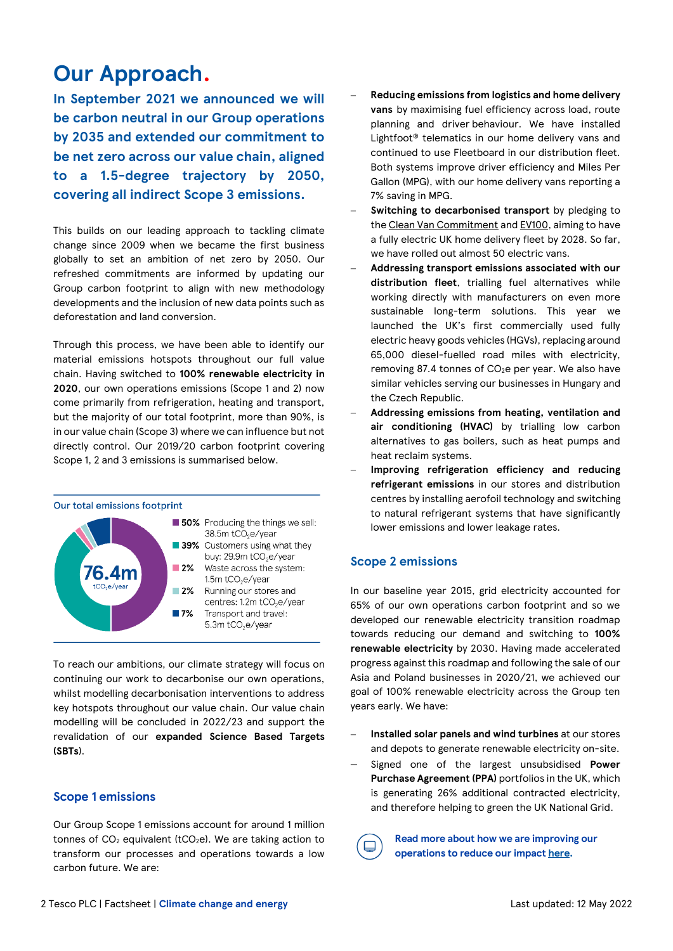### **Our Approach.**

**In September 2021 we announced we will be carbon neutral in our Group operations by 2035 and extended our commitment to be net zero across our value chain, aligned to a 1.5-degree trajectory by 2050, covering all indirect Scope 3 emissions.** 

This builds on our leading approach to tackling climate change since 2009 when we became the first business globally to set an ambition of net zero by 2050. Our refreshed commitments are informed by updating our Group carbon footprint to align with new methodology developments and the inclusion of new data points such as deforestation and land conversion.

Through this process, we have been able to identify our material emissions hotspots throughout our full value chain. Having switched to **100% renewable electricity in 2020**, our own operations emissions (Scope 1 and 2) now come primarily from refrigeration, heating and transport, but the majority of our total footprint, more than 90%, is in our value chain (Scope 3) where we can influence but not directly control. Our 2019/20 carbon footprint covering Scope 1, 2 and 3 emissions is summarised below.

#### Our total emissions footprint



To reach our ambitions, our climate strategy will focus on continuing our work to decarbonise our own operations, whilst modelling decarbonisation interventions to address key hotspots throughout our value chain. Our value chain modelling will be concluded in 2022/23 and support the revalidation of our **expanded Science Based Targets (SBTs**).

### **Scope 1 emissions**

Our Group Scope 1 emissions account for around 1 million tonnes of  $CO<sub>2</sub>$  equivalent (tCO<sub>2</sub>e). We are taking action to transform our processes and operations towards a low carbon future. We are:

- − **Reducing emissions from logistics and home delivery vans** by maximising fuel efficiency across load, route planning and driver behaviour. We have installed Lightfoot® telematics in our home delivery vans and continued to use Fleetboard in our distribution fleet. Both systems improve driver efficiency and Miles Per Gallon (MPG), with our home delivery vans reporting a 7% saving in MPG.
- Switching to decarbonised transport by pledging to the [Clean Van Commitment](https://www.globalactionplan.org.uk/clean-air/clean-van-commitment) an[d EV100,](https://www.theclimategroup.org/ev100) aiming to have a fully electric UK home delivery fleet by 2028. So far, we have rolled out almost 50 electric vans.
- − **Addressing transport emissions associated with our distribution fleet**, trialling fuel alternatives while working directly with manufacturers on even more sustainable long-term solutions. This year we launched the UK's first commercially used fully electric heavy goods vehicles (HGVs), replacing around 65,000 diesel-fuelled road miles with electricity, removing 87.4 tonnes of CO<sub>2</sub>e per year. We also have similar vehicles serving our businesses in Hungary and the Czech Republic.
- − **Addressing emissions from heating, ventilation and air conditioning (HVAC)** by trialling low carbon alternatives to gas boilers, such as heat pumps and heat reclaim systems.
- − **Improving refrigeration efficiency and reducing refrigerant emissions** in our stores and distribution centres by installing aerofoil technology and switching to natural refrigerant systems that have significantly lower emissions and lower leakage rates.

### **Scope 2 emissions**

In our baseline year 2015, grid electricity accounted for 65% of our own operations carbon footprint and so we developed our renewable electricity transition roadmap towards reducing our demand and switching to **100% renewable electricity** by 2030. Having made accelerated progress against this roadmap and following the sale of our Asia and Poland businesses in 2020/21, we achieved our goal of 100% renewable electricity across the Group ten years early. We have:

- − **Installed solar panels and wind turbines** at our stores and depots to generate renewable electricity on-site.
- − Signed one of the largest unsubsidised **Power Purchase Agreement (PPA)** portfolios in the UK, which is generating 26% additional contracted electricity, and therefore helping to green the UK National Grid.

**Read more about how we are improving our operations to reduce our impact [here.](https://www.tescoplc.com/sustainability/planet/climate-change/)**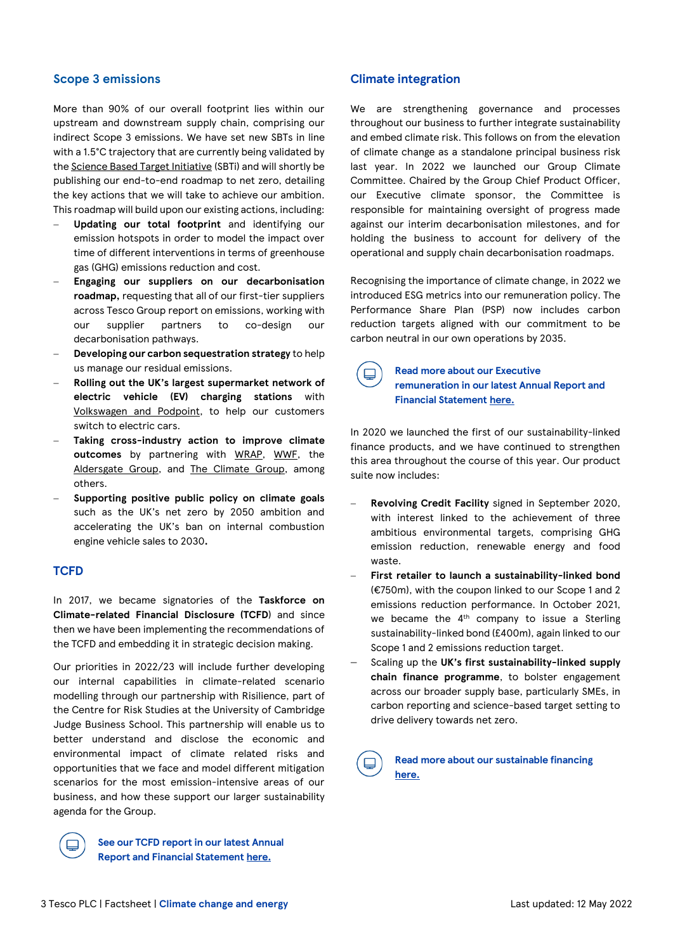### **Scope 3 emissions**

More than 90% of our overall footprint lies within our upstream and downstream supply chain, comprising our indirect Scope 3 emissions. We have set new SBTs in line with a 1.5°C trajectory that are currently being validated by th[e Science Based Target Initiative](https://sciencebasedtargets.org/) (SBTi) and will shortly be publishing our end-to-end roadmap to net zero, detailing the key actions that we will take to achieve our ambition. This roadmap will build upon our existing actions, including:

- − **Updating our total footprint** and identifying our emission hotspots in order to model the impact over time of different interventions in terms of greenhouse gas (GHG) emissions reduction and cost.
- − **Engaging our suppliers on our decarbonisation roadmap,** requesting that all of our first-tier suppliers across Tesco Group report on emissions, working with our supplier partners to co-design our decarbonisation pathways.
- − **Developing our carbon sequestration strategy** to help us manage our residual emissions.
- − **Rolling out the UK's largest supermarket network of electric vehicle (EV) charging stations** with [Volkswagen and Podpoint,](https://www.volkswagen.co.uk/en/electric-and-hybrid/partnerships/tesco.html) to help our customers switch to electric cars.
- − **Taking cross-industry action to improve climate outcomes** by partnering with [WRAP,](https://wrap.org.uk/taking-action/food-drink/initiatives/courtauld-commitment) [WWF,](https://www.youtube.com/watch?v=RcgeBhD-Yac&feature=emb_title) the [Aldersgate](https://www.aldersgategroup.org.uk/?_sm_au_=iVVQT0F7H1VHWMMH) Group, and [The Climate Group,](https://www.theclimategroup.org/) among others.
- − **Supporting positive public policy on climate goals**  such as the UK's net zero by 2050 ambition and accelerating the UK's ban on internal combustion engine vehicle sales to 2030**.**

#### **TCFD**

In 2017, we became signatories of the **Taskforce on Climate-related Financial Disclosure (TCFD**) and since then we have been implementing the recommendations of the TCFD and embedding it in strategic decision making.

Our priorities in 2022/23 will include further developing our internal capabilities in climate-related scenario modelling through our partnership with Risilience, part of the Centre for Risk Studies at the University of Cambridge Judge Business School. This partnership will enable us to better understand and disclose the economic and environmental impact of climate related risks and opportunities that we face and model different mitigation scenarios for the most emission-intensive areas of our business, and how these support our larger sustainability agenda for the Group.



**See our TCFD report in our latest Annual Report and Financial Statement [here.](http://www.tescoplc.com/ar22)**

#### **Climate integration**

We are strengthening governance and processes throughout our business to further integrate sustainability and embed climate risk. This follows on from the elevation of climate change as a standalone principal business risk last year. In 2022 we launched our Group Climate Committee. Chaired by the Group Chief Product Officer, our Executive climate sponsor, the Committee is responsible for maintaining oversight of progress made against our interim decarbonisation milestones, and for holding the business to account for delivery of the operational and supply chain decarbonisation roadmaps.

Recognising the importance of climate change, in 2022 we introduced ESG metrics into our remuneration policy. The Performance Share Plan (PSP) now includes carbon reduction targets aligned with our commitment to be carbon neutral in our own operations by 2035.



#### **Read more about our Executive remuneration in our latest Annual Report and Financial Statement [here.](http://www.tescoplc.com/ar22)**

In 2020 we launched the first of our sustainability-linked finance products, and we have continued to strengthen this area throughout the course of this year. Our product suite now includes:

- − **Revolving Credit Facility** signed in September 2020, with interest linked to the achievement of three ambitious environmental targets, comprising GHG emission reduction, renewable energy and food waste.
- − **First retailer to launch a sustainability-linked bond** (€750m), with the coupon linked to our Scope 1 and 2 emissions reduction performance. In October 2021, we became the 4<sup>th</sup> company to issue a Sterling sustainability-linked bond (£400m), again linked to our Scope 1 and 2 emissions reduction target.
- − Scaling up the **UK's first sustainability-linked supply chain finance programme**, to bolster engagement across our broader supply base, particularly SMEs, in carbon reporting and science-based target setting to drive delivery towards net zero.

**Read more about our sustainable financing [here.](https://www.tescoplc.com/investors/debt-investors/sustainablity-linked-financing/)**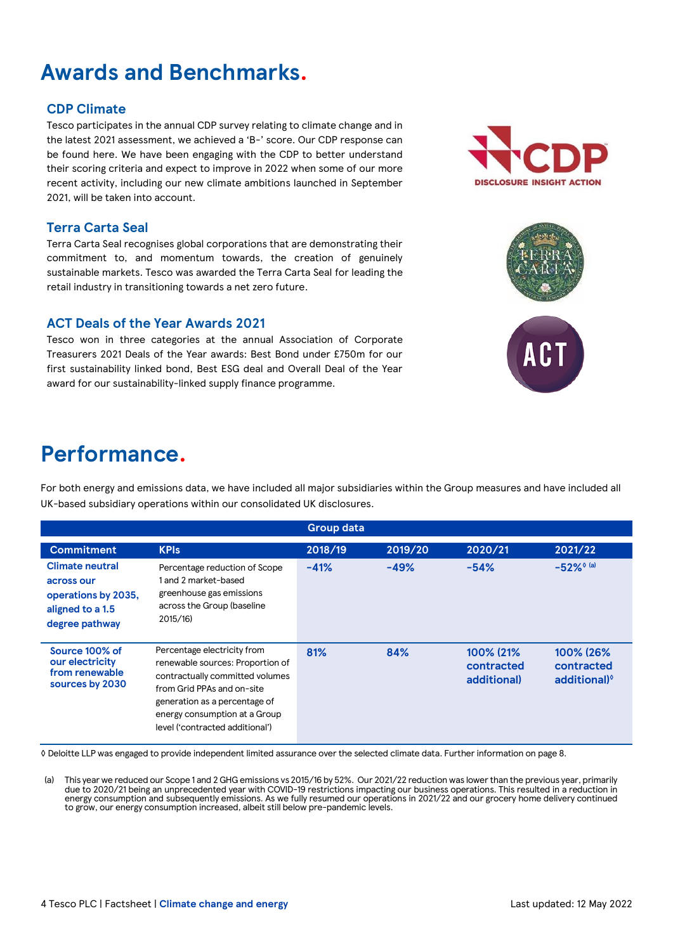## **Awards and Benchmarks.**

### **CDP Climate**

Tesco participates in the annual CDP survey relating to climate change and in the latest 2021 assessment, we achieved a 'B-' score. Our CDP response can be found here. We have been engaging with the CDP to better understand their scoring criteria and expect to improve in 2022 when some of our more recent activity, including our new climate ambitions launched in September 2021, will be taken into account.

### **Terra Carta Seal**

Terra Carta Seal recognises global corporations that are demonstrating their commitment to, and momentum towards, the creation of genuinely sustainable markets. Tesco was awarded the Terra Carta Seal for leading the retail industry in transitioning towards a net zero future.

### **ACT Deals of the Year Awards 2021**

Tesco won in three categories at the annual Association of Corporate Treasurers 2021 Deals of the Year awards: Best Bond under £750m for our first sustainability linked bond, Best ESG deal and Overall Deal of the Year award for our sustainability-linked supply finance programme.

### **Performance.**

For both energy and emissions data, we have included all major subsidiaries within the Group measures and have included all UK-based subsidiary operations within our consolidated UK disclosures.

**Group data**

| <b>Commitment</b>                                                                                 | <b>KPIs</b>                                                                                                                                                                                                                           | 2018/19 | 2019/20 | 2020/21                                | 2021/22                                             |
|---------------------------------------------------------------------------------------------------|---------------------------------------------------------------------------------------------------------------------------------------------------------------------------------------------------------------------------------------|---------|---------|----------------------------------------|-----------------------------------------------------|
| <b>Climate neutral</b><br>across our<br>operations by 2035,<br>aligned to a 1.5<br>degree pathway | Percentage reduction of Scope<br>1 and 2 market-based<br>greenhouse gas emissions<br>across the Group (baseline<br>2015/16                                                                                                            | $-41%$  | $-49%$  | $-54%$                                 | $-52\%$ <sup>o (a)</sup>                            |
| Source 100% of<br>our electricity<br>from renewable<br>sources by 2030                            | Percentage electricity from<br>renewable sources: Proportion of<br>contractually committed volumes<br>from Grid PPAs and on-site<br>generation as a percentage of<br>energy consumption at a Group<br>level ('contracted additional') | 81%     | 84%     | 100% (21%<br>contracted<br>additional) | 100% (26%<br>contracted<br>additional) <sup>o</sup> |

◊ Deloitte LLP was engaged to provide independent limited assurance over the selected climate data. Further information on page 8.

(a) This year we reduced our Scope 1 and 2 GHG emissions vs 2015/16 by 52%. Our 2021/22 reduction was lower than the previous year, primarily due to 2020/21 being an unprecedented year with COVID-19 restrictions impacting our business operations. This resulted in a reduction in energy consumption and subsequently emissions. As we fully resumed our operations in 2021/22 and our grocery home delivery continued to grow, our energy consumption increased, albeit still below pre-pandemic levels.





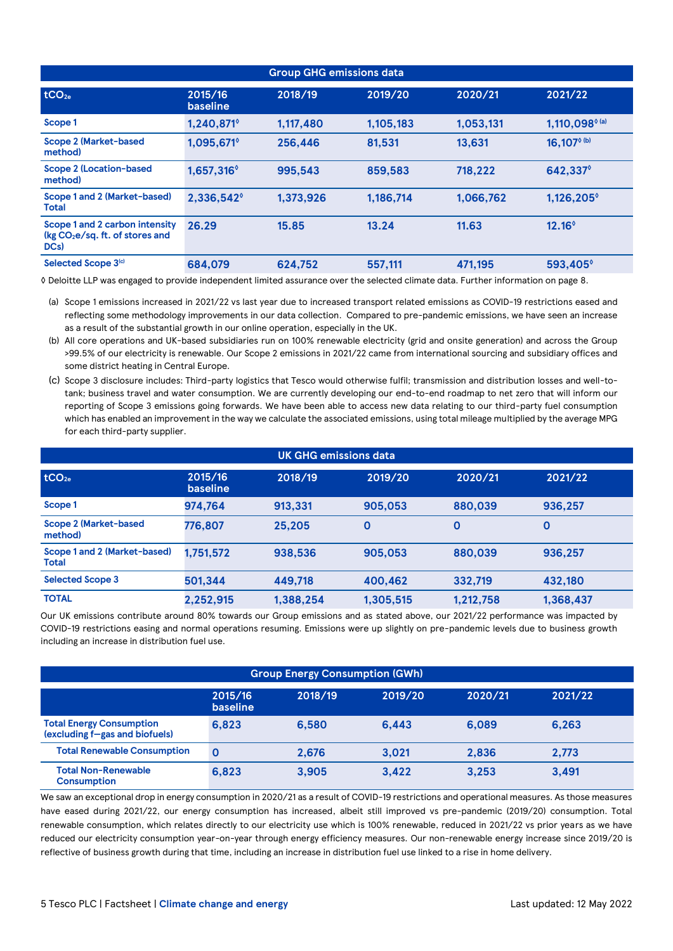| <b>Group GHG emissions data</b>                                                         |                            |           |           |           |                            |
|-----------------------------------------------------------------------------------------|----------------------------|-----------|-----------|-----------|----------------------------|
| tCO <sub>2e</sub>                                                                       | 2015/16<br><b>baseline</b> | 2018/19   | 2019/20   | 2020/21   | 2021/22                    |
| Scope 1                                                                                 | 1,240,871                  | 1,117,480 | 1,105,183 | 1.053.131 | 1,110,098 <sup>6 (a)</sup> |
| <b>Scope 2 (Market-based)</b><br>method)                                                | $1,095,671^\circ$          | 256,446   | 81.531    | 13.631    | $16,107^{\circ (b)}$       |
| <b>Scope 2 (Location-based</b><br>method)                                               | 1,657,316 <sup>°</sup>     | 995.543   | 859.583   | 718,222   | 642,337°                   |
| Scope 1 and 2 (Market-based)<br>Total                                                   | 2,336,542                  | 1,373,926 | 1.186.714 | 1.066.762 | 1,126,205                  |
| Scope 1 and 2 carbon intensity<br>$(kg CO2e/sg. ft. of stores and$<br>DC <sub>s</sub> ) | 26.29                      | 15.85     | 13.24     | 11.63     | $12.16^{\circ}$            |
| Selected Scope 3(c)                                                                     | 684.079                    | 624,752   | 557,111   | 471.195   | 593,405 <sup>°</sup>       |

◊ Deloitte LLP was engaged to provide independent limited assurance over the selected climate data. Further information on page 8.

(a) Scope 1 emissions increased in 2021/22 vs last year due to increased transport related emissions as COVID-19 restrictions eased and reflecting some methodology improvements in our data collection. Compared to pre-pandemic emissions, we have seen an increase as a result of the substantial growth in our online operation, especially in the UK.

- (b) All core operations and UK-based subsidiaries run on 100% renewable electricity (grid and onsite generation) and across the Group >99.5% of our electricity is renewable. Our Scope 2 emissions in 2021/22 came from international sourcing and subsidiary offices and some district heating in Central Europe.
- (c) Scope 3 disclosure includes: Third-party logistics that Tesco would otherwise fulfil; transmission and distribution losses and well-totank; business travel and water consumption. We are currently developing our end-to-end roadmap to net zero that will inform our reporting of Scope 3 emissions going forwards. We have been able to access new data relating to our third-party fuel consumption which has enabled an improvement in the way we calculate the associated emissions, using total mileage multiplied by the average MPG for each third-party supplier.

|                                              | <u>IUK GH</u> G emissions data |           |           |           |             |
|----------------------------------------------|--------------------------------|-----------|-----------|-----------|-------------|
| tCO <sub>2e</sub>                            | 2015/16<br><b>baseline</b>     | 2018/19   | 2019/20   | 2020/21   | 2021/22     |
| Scope 1                                      | 974,764                        | 913,331   | 905,053   | 880,039   | 936,257     |
| <b>Scope 2 (Market-based</b><br>method)      | 776,807                        | 25.205    | 0         | 0         | $\mathbf 0$ |
| Scope 1 and 2 (Market-based)<br><b>Total</b> | 1,751,572                      | 938,536   | 905.053   | 880,039   | 936.257     |
| <b>Selected Scope 3</b>                      | 501,344                        | 449.718   | 400.462   | 332,719   | 432,180     |
| <b>TOTAL</b>                                 | 2,252,915                      | 1,388,254 | 1,305,515 | 1.212.758 | 1,368,437   |

Our UK emissions contribute around 80% towards our Group emissions and as stated above, our 2021/22 performance was impacted by COVID-19 restrictions easing and normal operations resuming. Emissions were up slightly on pre-pandemic levels due to business growth including an increase in distribution fuel use.

| <b>Group Energy Consumption (GWh)</b>                             |                     |         |         |         |         |
|-------------------------------------------------------------------|---------------------|---------|---------|---------|---------|
|                                                                   | 2015/16<br>baseline | 2018/19 | 2019/20 | 2020/21 | 2021/22 |
| <b>Total Energy Consumption</b><br>(excluding f-gas and biofuels) | 6.823               | 6.580   | 6.443   | 6.089   | 6.263   |
| <b>Total Renewable Consumption</b>                                | $\mathbf 0$         | 2.676   | 3.021   | 2.836   | 2,773   |
| <b>Total Non-Renewable</b><br><b>Consumption</b>                  | 6.823               | 3.905   | 3.422   | 3.253   | 3,491   |

We saw an exceptional drop in energy consumption in 2020/21 as a result of COVID-19 restrictions and operational measures. As those measures have eased during 2021/22, our energy consumption has increased, albeit still improved vs pre-pandemic (2019/20) consumption. Total renewable consumption, which relates directly to our electricity use which is 100% renewable, reduced in 2021/22 vs prior years as we have reduced our electricity consumption year-on-year through energy efficiency measures. Our non-renewable energy increase since 2019/20 is reflective of business growth during that time, including an increase in distribution fuel use linked to a rise in home delivery.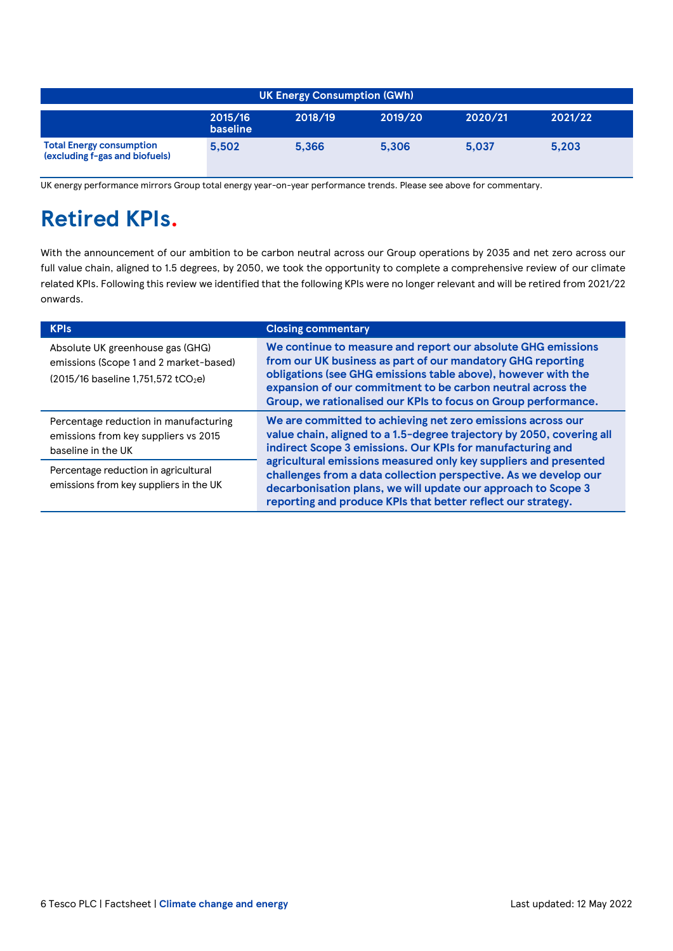| <b>UK Energy Consumption (GWh)</b>                                |                     |         |         |         |         |
|-------------------------------------------------------------------|---------------------|---------|---------|---------|---------|
|                                                                   | 2015/16<br>baseline | 2018/19 | 2019/20 | 2020/21 | 2021/22 |
| <b>Total Energy consumption</b><br>(excluding f-gas and biofuels) | 5.502               | 5.366   | 5.306   | 5.037   | 5,203   |

UK energy performance mirrors Group total energy year-on-year performance trends. Please see above for commentary.

### **Retired KPIs.**

With the announcement of our ambition to be carbon neutral across our Group operations by 2035 and net zero across our full value chain, aligned to 1.5 degrees, by 2050, we took the opportunity to complete a comprehensive review of our climate related KPIs. Following this review we identified that the following KPIs were no longer relevant and will be retired from 2021/22 onwards.

| <b>KPIs</b>                                                                                                                          | <b>Closing commentary</b>                                                                                                                                                                                                                                                                                                     |  |  |  |
|--------------------------------------------------------------------------------------------------------------------------------------|-------------------------------------------------------------------------------------------------------------------------------------------------------------------------------------------------------------------------------------------------------------------------------------------------------------------------------|--|--|--|
| Absolute UK greenhouse gas (GHG)<br>emissions (Scope 1 and 2 market-based)<br>$(2015/16 \text{ baseline } 1,751,572 \text{ tCO}_2e)$ | We continue to measure and report our absolute GHG emissions<br>from our UK business as part of our mandatory GHG reporting<br>obligations (see GHG emissions table above), however with the<br>expansion of our commitment to be carbon neutral across the<br>Group, we rationalised our KPIs to focus on Group performance. |  |  |  |
| Percentage reduction in manufacturing<br>emissions from key suppliers vs 2015<br>baseline in the UK                                  | We are committed to achieving net zero emissions across our<br>value chain, aligned to a 1.5-degree trajectory by 2050, covering all<br>indirect Scope 3 emissions. Our KPIs for manufacturing and                                                                                                                            |  |  |  |
| Percentage reduction in agricultural<br>emissions from key suppliers in the UK                                                       | agricultural emissions measured only key suppliers and presented<br>challenges from a data collection perspective. As we develop our<br>decarbonisation plans, we will update our approach to Scope 3<br>reporting and produce KPIs that better reflect our strategy.                                                         |  |  |  |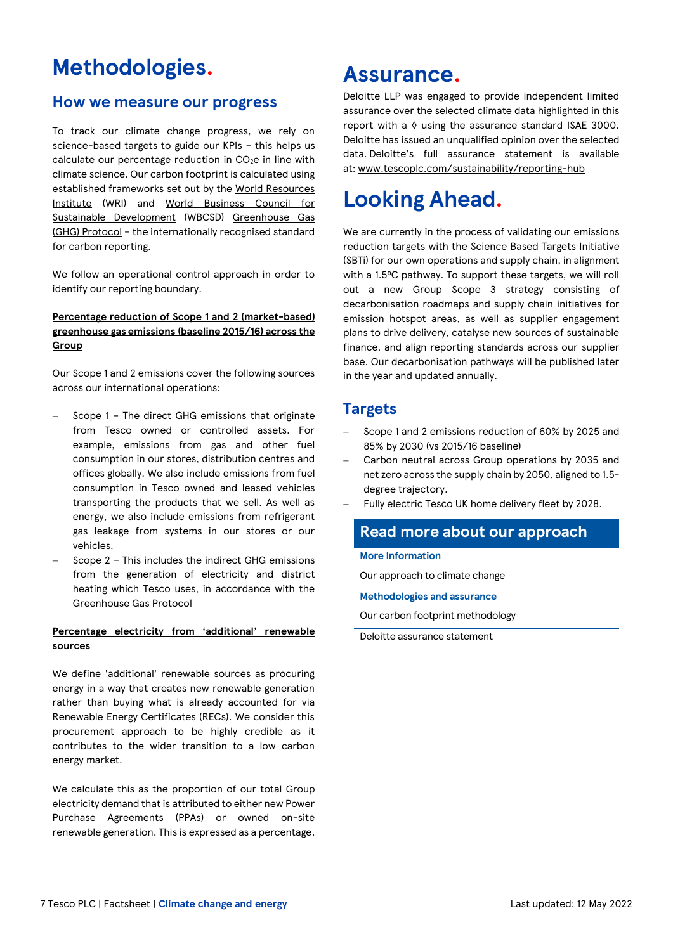### **Methodologies.**

### **How we measure our progress**

To track our climate change progress, we rely on science-based targets to guide our KPIs – this helps us calculate our percentage reduction in CO<sub>2</sub>e in line with climate science. Our carbon footprint is calculated using established frameworks set out by the [World Resources](http://www.wri.org/our-work/topics/climate)  [Institute](http://www.wri.org/our-work/topics/climate) (WRI) and World Business Council for [Sustainable Development](https://www.wbcsd.org/) (WBCSD) [Greenhouse Gas](https://ghgprotocol.org/)  [\(GHG\) Protocol](https://ghgprotocol.org/) – the internationally recognised standard for carbon reporting.

We follow an operational control approach in order to identify our reporting boundary.

### **Percentage reduction of Scope 1 and 2 (market-based) greenhouse gas emissions (baseline 2015/16) across the Group**

Our Scope 1 and 2 emissions cover the following sources across our international operations:

- − Scope 1 The direct GHG emissions that originate from Tesco owned or controlled assets. For example, emissions from gas and other fuel consumption in our stores, distribution centres and offices globally. We also include emissions from fuel consumption in Tesco owned and leased vehicles transporting the products that we sell. As well as energy, we also include emissions from refrigerant gas leakage from systems in our stores or our vehicles.
- − Scope 2 This includes the indirect GHG emissions from the generation of electricity and district heating which Tesco uses, in accordance with the Greenhouse Gas Protocol

### **Percentage electricity from 'additional' renewable sources**

We define 'additional' renewable sources as procuring energy in a way that creates new renewable generation rather than buying what is already accounted for via Renewable Energy Certificates (RECs). We consider this procurement approach to be highly credible as it contributes to the wider transition to a low carbon energy market.

We calculate this as the proportion of our total Group electricity demand that is attributed to either new Power Purchase Agreements (PPAs) or owned on-site renewable generation. This is expressed as a percentage.

### **Assurance.**

Deloitte LLP was engaged to provide independent limited assurance over the selected climate data highlighted in this report with a ◊ using the assurance standard ISAE 3000. Deloitte has issued an unqualified opinion over the selected data. Deloitte's full assurance statement is available at: [www.tescoplc.com/sustainability/reporting-hub](http://www.tescoplc.com/sustainability/reporting-hub)

## **Looking Ahead.**

We are currently in the process of validating our emissions reduction targets with the Science Based Targets Initiative (SBTi) for our own operations and supply chain, in alignment with a 1.5°C pathway. To support these targets, we will roll out a new Group Scope 3 strategy consisting of decarbonisation roadmaps and supply chain initiatives for emission hotspot areas, as well as supplier engagement plans to drive delivery, catalyse new sources of sustainable finance, and align reporting standards across our supplier base. Our decarbonisation pathways will be published later in the year and updated annually.

### **Targets**

- Scope 1 and 2 emissions reduction of 60% by 2025 and 85% by 2030 (vs 2015/16 baseline)
- − Carbon neutral across Group operations by 2035 and net zero across the supply chain by 2050, aligned to 1.5 degree trajectory.
- Fully electric Tesco UK home delivery fleet by 2028.

### **Read more about our approach**

#### **More Information**

[Our approach to climate change](https://www.tescoplc.com/sustainability/planet/climate-change/)

**Methodologies and assurance**

[Our carbon footprint methodology](https://www.tescoplc.com/media/758917/kpi-methodology_climate.pdf)

Deloitte [assurance statement](https://www.tescoplc.com/media/758924/tesco-plc-independent-assurance-report-2022-signed.pdf)